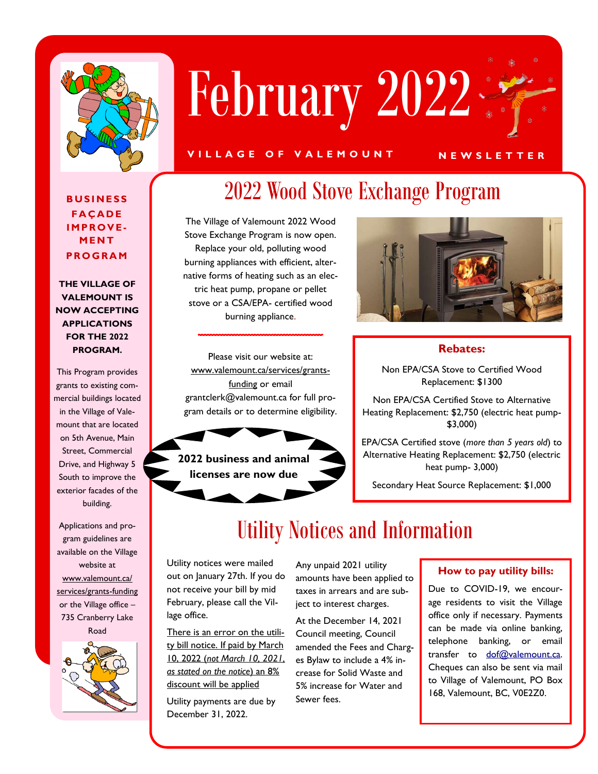

# February 2022

#### **V I L L A G E O F V A L E M O U N T N E W S L E T T E R**

**B U S I N E S S F A Ç A D E I M P R O V E - M E N T P R O G R A M**

**THE VILLAGE OF VALEMOUNT IS NOW ACCEPTING APPLICATIONS FOR THE 2022 PROGRAM.**

This Program provides grants to existing commercial buildings located in the Village of Valemount that are located on 5th Avenue, Main Street, Commercial Drive, and Highway 5 South to improve the exterior facades of the building.

Applications and program guidelines are available on the Village website at www.valemount.ca/ services/grants-funding or the Village office – 735 Cranberry Lake Road



## 2022 Wood Stove Exchange Program

The Village of Valemount 2022 Wood Stove Exchange Program is now open. Replace your old, polluting wood burning appliances with efficient, alternative forms of heating such as an electric heat pump, propane or pellet stove or a CSA/EPA- certified wood burning appliance.

Please visit our website at: www.valemount.ca/services/grantsfunding or email grantclerk@valemount.ca for full program details or to determine eligibility.





#### **Rebates:**

Non EPA/CSA Stove to Certified Wood Replacement: \$1300

Non EPA/CSA Certified Stove to Alternative Heating Replacement: \$2,750 (electric heat pump- \$3,000)

EPA/CSA Certified stove (*more than 5 years old*) to Alternative Heating Replacement: \$2,750 (electric heat pump- 3,000)

Secondary Heat Source Replacement: \$1,000

## Utility Notices and Information

Utility notices were mailed out on January 27th. If you do not receive your bill by mid February, please call the Village office.

There is an error on the utility bill notice. If paid by March 10, 2022 (*not March 10, 2021, as stated on the notice*) an 8% discount will be applied

Utility payments are due by December 31, 2022.

Any unpaid 2021 utility amounts have been applied to taxes in arrears and are subject to interest charges.

At the December 14, 2021 Council meeting, Council amended the Fees and Charges Bylaw to include a 4% increase for Solid Waste and 5% increase for Water and Sewer fees.

#### **How to pay utility bills:**

Due to COVID-19, we encourage residents to visit the Village office only if necessary. Payments can be made via online banking, telephone banking, or email transfer to dof@valemount.ca. Cheques can also be sent via mail to Village of Valemount, PO Box 168, Valemount, BC, V0E2Z0.